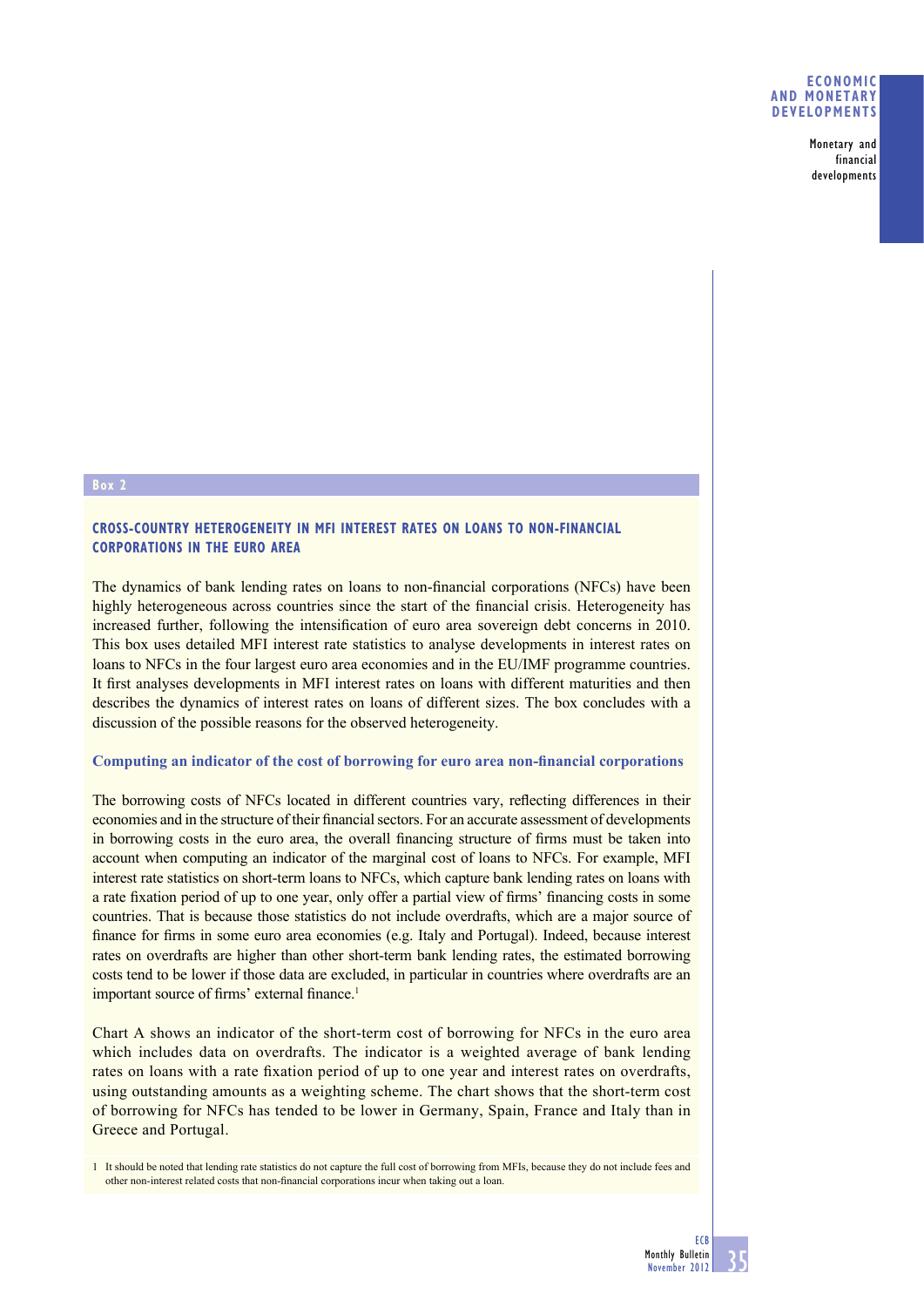#### **ECONOMIC AND MONETARY DEVELOPMENTS**

Monetary and financial developments

#### **Box 2**

## **CROSS-COUNTRY HETEROGENEITY IN MFI INTEREST RATES ON LOANS TO NON-FINANCIAL CORPORATIONS IN THE EURO AREA**

The dynamics of bank lending rates on loans to non-financial corporations (NFCs) have been highly heterogeneous across countries since the start of the financial crisis. Heterogeneity has increased further, following the intensification of euro area sovereign debt concerns in 2010. This box uses detailed MFI interest rate statistics to analyse developments in interest rates on loans to NFCs in the four largest euro area economies and in the EU/IMF programme countries. It first analyses developments in MFI interest rates on loans with different maturities and then describes the dynamics of interest rates on loans of different sizes. The box concludes with a discussion of the possible reasons for the observed heterogeneity.

#### Computing an indicator of the cost of borrowing for euro area non-financial corporations

The borrowing costs of NFCs located in different countries vary, reflecting differences in their economies and in the structure of their financial sectors. For an accurate assessment of developments in borrowing costs in the euro area, the overall financing structure of firms must be taken into account when computing an indicator of the marginal cost of loans to NFCs. For example, MFI interest rate statistics on short-term loans to NFCs, which capture bank lending rates on loans with a rate fixation period of up to one year, only offer a partial view of firms' financing costs in some countries. That is because those statistics do not include overdrafts, which are a major source of finance for firms in some euro area economies (e.g. Italy and Portugal). Indeed, because interest rates on overdrafts are higher than other short-term bank lending rates, the estimated borrowing costs tend to be lower if those data are excluded, in particular in countries where overdrafts are an important source of firms' external finance.<sup>1</sup>

Chart A shows an indicator of the short-term cost of borrowing for NFCs in the euro area which includes data on overdrafts. The indicator is a weighted average of bank lending rates on loans with a rate fixation period of up to one year and interest rates on overdrafts, using outstanding amounts as a weighting scheme. The chart shows that the short-term cost of borrowing for NFCs has tended to be lower in Germany, Spain, France and Italy than in Greece and Portugal.

1 It should be noted that lending rate statistics do not capture the full cost of borrowing from MFIs, because they do not include fees and other non-interest related costs that non-financial corporations incur when taking out a loan.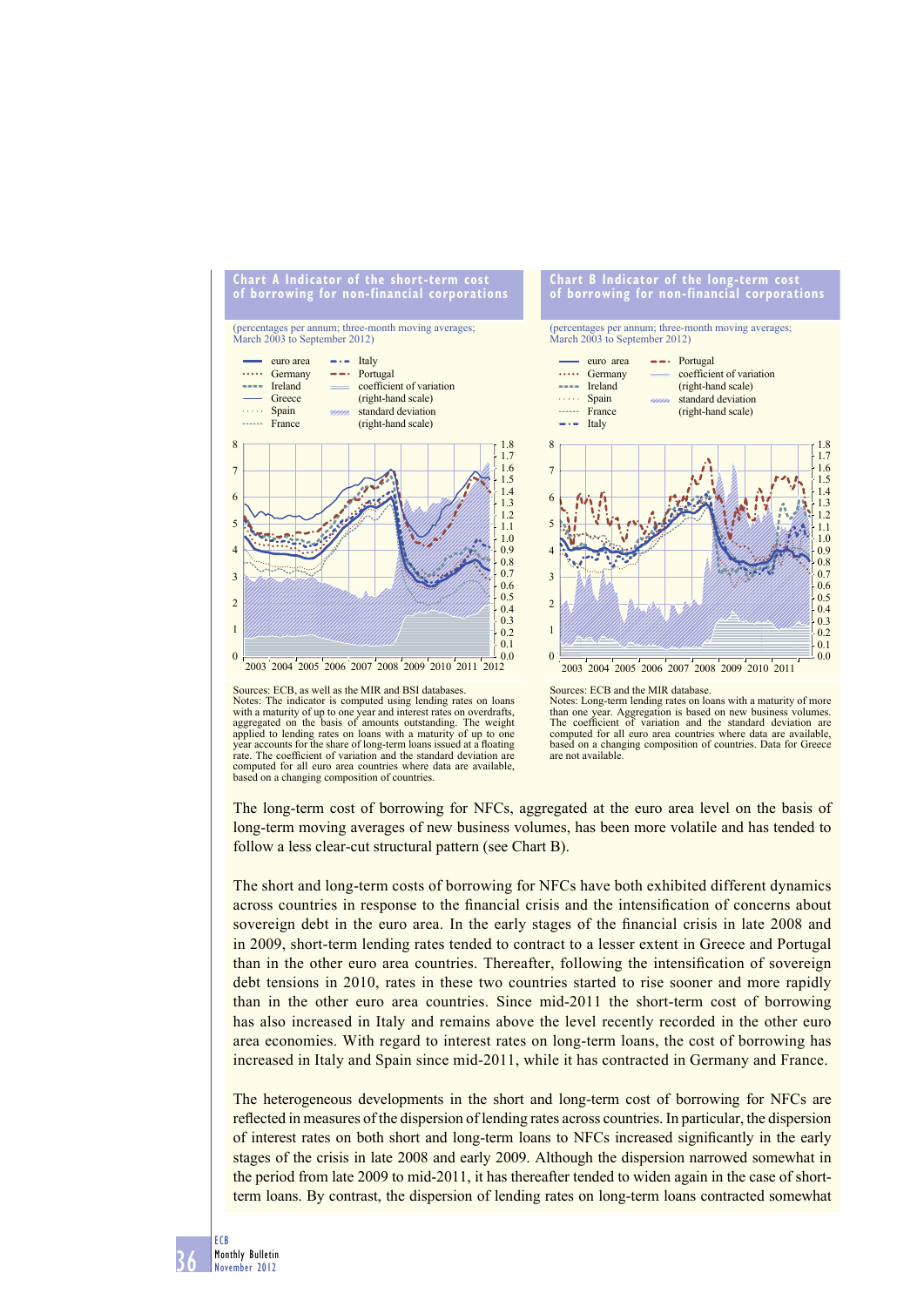

Sources: ECB, as well as the MIR and BSI databases. Notes: The indicator is computed using lending rates on loans with a maturity of up to one year and interest rates on overdrafts, aggregated on the basis of amounts outstanding. The weight applied to lending rates on loans with a maturity of up to one year accounts for the share of long-term loans issued at a floating rate. The coefficient of variation and the standard deviation are computed for all euro area countries where data are available, based on a changing composition of countries.

Sources: ECB and the MIR database.

Notes: Long-term lending rates on loans with a maturity of more than one year. Aggregation is based on new business volumes.<br>The coefficient of variation and the standard deviation are computed for all euro area countries where data are available, based on a changing composition of countries. Data for Greece are not available.

 $0.0$ 0.1 0.2 0.3  $0.4$  $0.6$ <br> $0.5$  $0.7$ 0.8 0.9 1.0 1.1 1.2 1.3 1.4  $\frac{1.5}{1.5}$ 1.6 1.7 1.8

The long-term cost of borrowing for NFCs, aggregated at the euro area level on the basis of long-term moving averages of new business volumes, has been more volatile and has tended to follow a less clear-cut structural pattern (see Chart B).

The short and long-term costs of borrowing for NFCs have both exhibited different dynamics across countries in response to the financial crisis and the intensification of concerns about sovereign debt in the euro area. In the early stages of the financial crisis in late 2008 and in 2009, short-term lending rates tended to contract to a lesser extent in Greece and Portugal than in the other euro area countries. Thereafter, following the intensification of sovereign debt tensions in 2010, rates in these two countries started to rise sooner and more rapidly than in the other euro area countries. Since mid-2011 the short-term cost of borrowing has also increased in Italy and remains above the level recently recorded in the other euro area economies. With regard to interest rates on long-term loans, the cost of borrowing has increased in Italy and Spain since mid-2011, while it has contracted in Germany and France.

The heterogeneous developments in the short and long-term cost of borrowing for NFCs are reflected in measures of the dispersion of lending rates across countries. In particular, the dispersion of interest rates on both short and long-term loans to NFCs increased significantly in the early stages of the crisis in late 2008 and early 2009. Although the dispersion narrowed somewhat in the period from late 2009 to mid-2011, it has thereafter tended to widen again in the case of shortterm loans. By contrast, the dispersion of lending rates on long-term loans contracted somewhat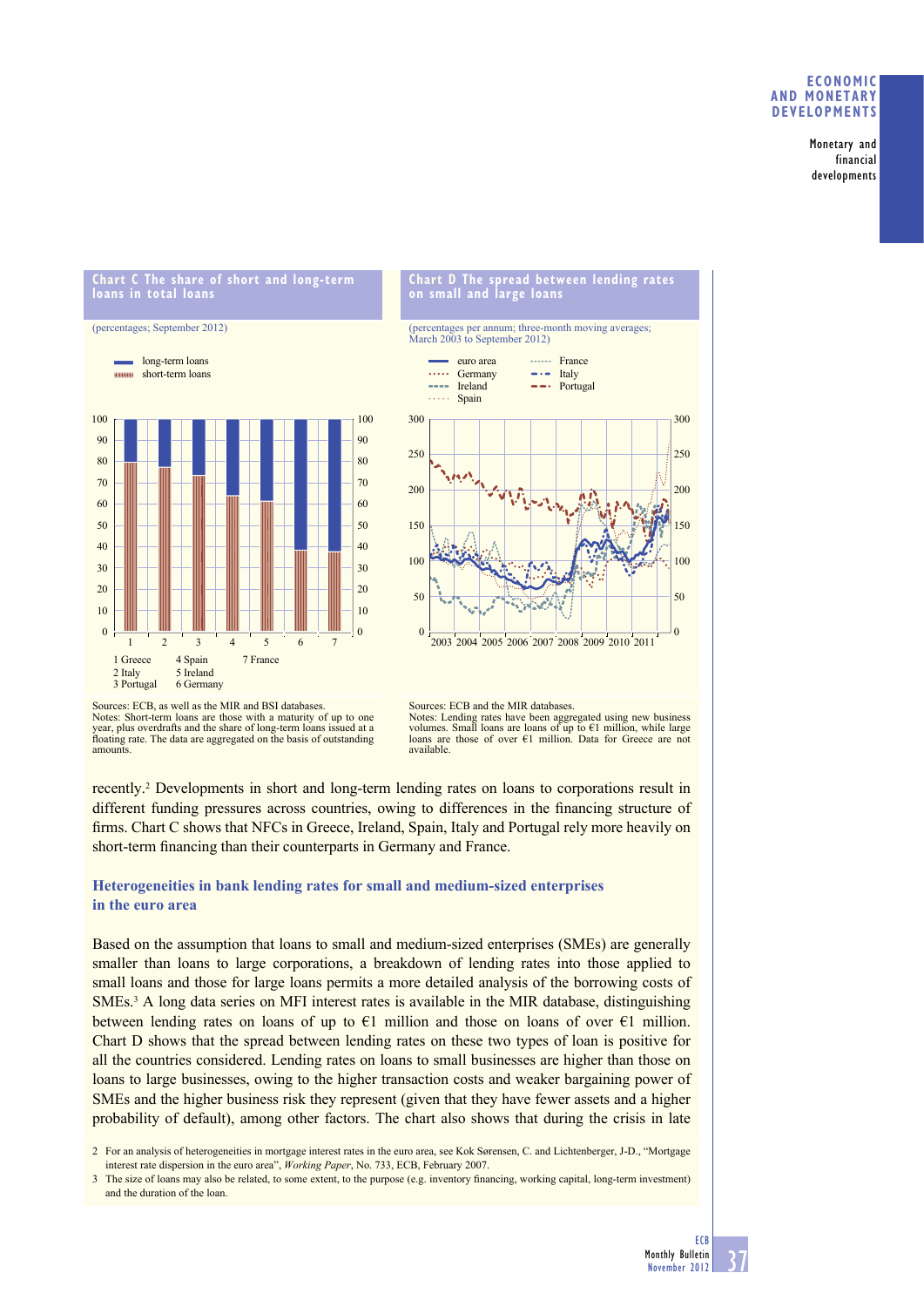### **ECONOMIC AND MONETARY DEVELOPMENTS**

Monetary and financial developments

### **Chart C The share of short and long-term loans in total loans**





# **Chart D The spread between lending rates on small and large loans**

(percentages per annum; three-month moving averages; March 2003 to September 2012)



Sources: ECB, as well as the MIR and BSI databases. Notes: Short-term loans are those with a maturity of up to one year, plus overdrafts and the share of long-term loans issued at a floating rate. The data are aggregated on the basis of outstanding amounts.

Sources: ECB and the MIR databases. Notes: Lending rates have been aggregated using new business volumes. Small loans are loans of up to €1 million, while large loans are those of over €1 million. Data for Greece are not available.

recently.<sup>2</sup> Developments in short and long-term lending rates on loans to corporations result in different funding pressures across countries, owing to differences in the financing structure of firms. Chart C shows that NFCs in Greece, Ireland, Spain, Italy and Portugal rely more heavily on short-term financing than their counterparts in Germany and France.

# **Heterogeneities in bank lending rates for small and medium-sized enterprises in the euro area**

Based on the assumption that loans to small and medium-sized enterprises (SMEs) are generally smaller than loans to large corporations, a breakdown of lending rates into those applied to small loans and those for large loans permits a more detailed analysis of the borrowing costs of SMEs.<sup>3</sup> A long data series on MFI interest rates is available in the MIR database, distinguishing between lending rates on loans of up to  $E1$  million and those on loans of over  $E1$  million. Chart D shows that the spread between lending rates on these two types of loan is positive for all the countries considered. Lending rates on loans to small businesses are higher than those on loans to large businesses, owing to the higher transaction costs and weaker bargaining power of SMEs and the higher business risk they represent (given that they have fewer assets and a higher probability of default), among other factors. The chart also shows that during the crisis in late

<sup>2</sup> For an analysis of heterogeneities in mortgage interest rates in the euro area, see Kok Sørensen, C. and Lichtenberger, J-D., "Mortgage interest rate dispersion in the euro area", *Working Paper*, No. 733, ECB, February 2007.

<sup>3</sup> The size of loans may also be related, to some extent, to the purpose (e.g. inventory financing, working capital, long-term investment) and the duration of the loan.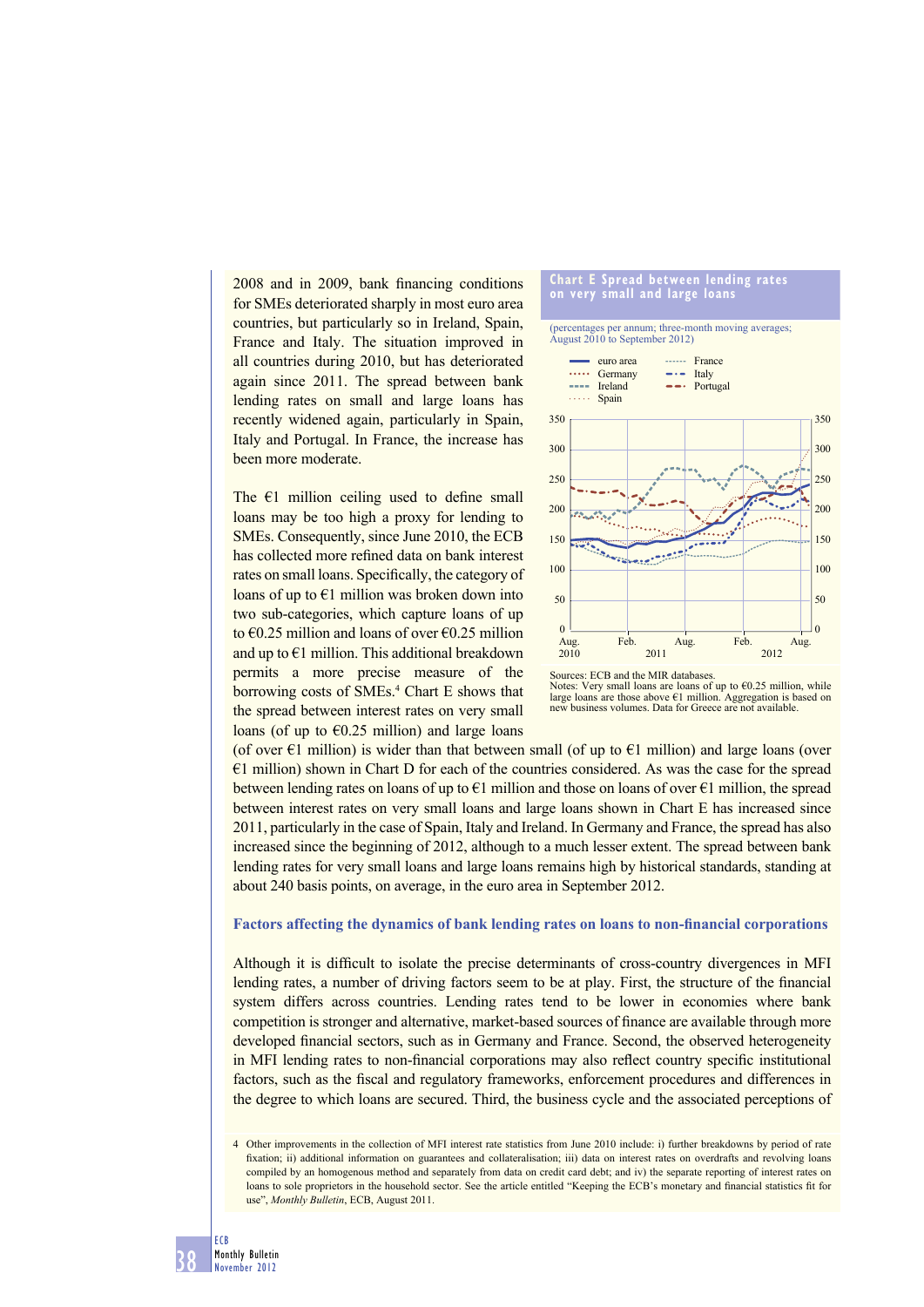$2008$  and in  $2009$ , bank financing conditions for SMEs deteriorated sharply in most euro area countries, but particularly so in Ireland, Spain, France and Italy. The situation improved in all countries during 2010, but has deteriorated again since 2011. The spread between bank lending rates on small and large loans has recently widened again, particularly in Spain, Italy and Portugal. In France, the increase has been more moderate.

The  $E1$  million ceiling used to define small loans may be too high a proxy for lending to SMEs. Consequently, since June 2010, the ECB has collected more refined data on bank interest rates on small loans. Specifically, the category of loans of up to  $E1$  million was broken down into two sub-categories, which capture loans of up to  $\epsilon$ 0.25 million and loans of over  $\epsilon$ 0.25 million and up to  $E1$  million. This additional breakdown permits a more precise measure of the borrowing costs of SMEs.<sup>4</sup> Chart E shows that the spread between interest rates on very small loans (of up to  $\epsilon$ 0.25 million) and large loans





(of over  $E1$  million) is wider than that between small (of up to  $E1$  million) and large loans (over €1 million) shown in Chart D for each of the countries considered. As was the case for the spread between lending rates on loans of up to  $E1$  million and those on loans of over  $E1$  million, the spread between interest rates on very small loans and large loans shown in Chart E has increased since 2011, particularly in the case of Spain, Italy and Ireland. In Germany and France, the spread has also increased since the beginning of 2012, although to a much lesser extent. The spread between bank lending rates for very small loans and large loans remains high by historical standards, standing at about 240 basis points, on average, in the euro area in September 2012.

#### Factors affecting the dynamics of bank lending rates on loans to non-financial corporations

Although it is difficult to isolate the precise determinants of cross-country divergences in MFI lending rates, a number of driving factors seem to be at play. First, the structure of the financial system differs across countries. Lending rates tend to be lower in economies where bank competition is stronger and alternative, market-based sources of finance are available through more developed financial sectors, such as in Germany and France. Second, the observed heterogeneity in MFI lending rates to non-financial corporations may also reflect country specific institutional factors, such as the fiscal and regulatory frameworks, enforcement procedures and differences in the degree to which loans are secured. Third, the business cycle and the associated perceptions of

<sup>4</sup> Other improvements in the collection of MFI interest rate statistics from June 2010 include: i) further breakdowns by period of rate fixation; ii) additional information on guarantees and collateralisation; iii) data on interest rates on overdrafts and revolving loans compiled by an homogenous method and separately from data on credit card debt; and iv) the separate reporting of interest rates on loans to sole proprietors in the household sector. See the article entitled "Keeping the ECB's monetary and financial statistics fit for use", *Monthly Bulletin*, ECB, August 2011.